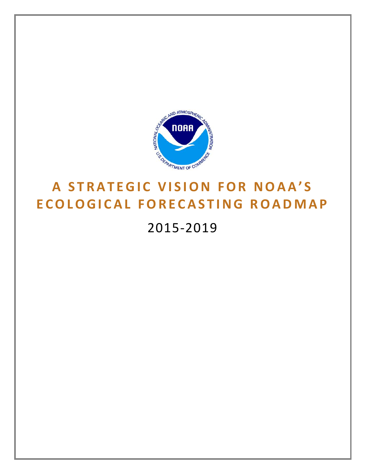

# **ECOLOGICAL FORECASTING ROADMAP**

2015-2019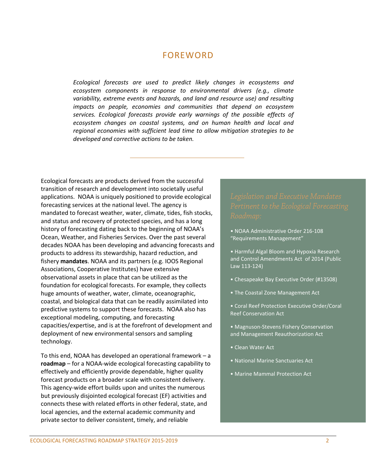## FOREWORD

*Ecological forecasts are used to predict likely changes in ecosystems and ecosystem components in response to environmental drivers (e.g., climate variability, extreme events and hazards, and land and resource use) and resulting impacts on people, economies and communities that depend on ecosystem services. Ecological forecasts provide early warnings of the possible effects of ecosystem changes on coastal systems, and on human health and local and regional economies with sufficient lead time to allow mitigation strategies to be developed and corrective actions to be taken.*

Ecological forecasts are products derived from the successful transition of research and development into societally useful applications. NOAA is uniquely positioned to provide ecological forecasting services at the national level. The agency is mandated to forecast weather, water, climate, tides, fish stocks, and status and recovery of protected species, and has a long history of forecasting dating back to the beginning of NOAA's Ocean, Weather, and Fisheries Services. Over the past several decades NOAA has been developing and advancing forecasts and products to address its stewardship, hazard reduction, and fishery **mandates**. NOAA and its partners (e.g. IOOS Regional Associations, Cooperative Institutes) have extensive observational assets in place that can be utilized as the foundation for ecological forecasts. For example, they collects huge amounts of weather, water, climate, oceanographic, coastal, and biological data that can be readily assimilated into predictive systems to support these forecasts. NOAA also has exceptional modeling, computing, and forecasting capacities/expertise, and is at the forefront of development and deployment of new environmental sensors and sampling technology.

To this end, NOAA has developed an operational framework – a **roadmap** – for a NOAA-wide ecological forecasting capability to effectively and efficiently provide dependable, higher quality forecast products on a broader scale with consistent delivery. This agency-wide effort builds upon and unites the numerous but previously disjointed ecological forecast (EF) activities and connects these with related efforts in other federal, state, and local agencies, and the external academic community and private sector to deliver consistent, timely, and reliable

- NOAA Administrative Order 216-108 "Requirements Management"
- Harmful Algal Bloom and Hypoxia Research and Control Amendments Act of 2014 (Public Law 113-124)
- Chesapeake Bay Executive Order (#13508)
- The Coastal Zone Management Act
- Coral Reef Protection Executive Order/Coral Reef Conservation Act
- Magnuson-Stevens Fishery Conservation and Management Reauthorization Act
- Clean Water Act
- National Marine Sanctuaries Act
- Marine Mammal Protection Act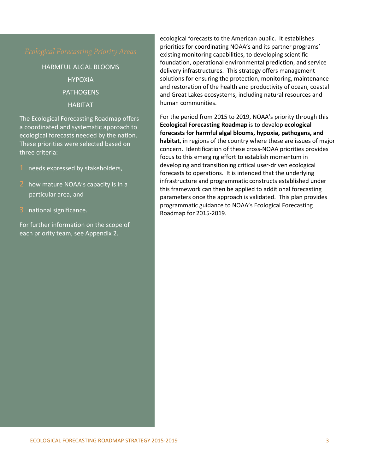HARMFUL ALGAL BLOOMS HYPOXIA **PATHOGENS** HABITAT

The Ecological Forecasting Roadmap offers a coordinated and systematic approach to ecological forecasts needed by the nation. These priorities were selected based on three criteria:

- 1 needs expressed by stakeholders,
- 2 how mature NOAA's capacity is in a particular area, and
- 3 national significance.

For further information on the scope of each priority team, see Appendix 2.

ecological forecasts to the American public. It establishes priorities for coordinating NOAA's and its partner programs' existing monitoring capabilities, to developing scientific foundation, operational environmental prediction, and service delivery infrastructures. This strategy offers management solutions for ensuring the protection, monitoring, maintenance and restoration of the health and productivity of ocean, coastal and Great Lakes ecosystems, including natural resources and human communities.

For the period from 2015 to 2019, NOAA's priority through this **Ecological Forecasting Roadmap** is to develop **ecological forecasts for harmful algal blooms, hypoxia, pathogens, and habitat**, in regions of the country where these are issues of major concern. Identification of these cross-NOAA priorities provides focus to this emerging effort to establish momentum in developing and transitioning critical user-driven ecological forecasts to operations. It is intended that the underlying infrastructure and programmatic constructs established under this framework can then be applied to additional forecasting parameters once the approach is validated. This plan provides programmatic guidance to NOAA's Ecological Forecasting Roadmap for 2015-2019.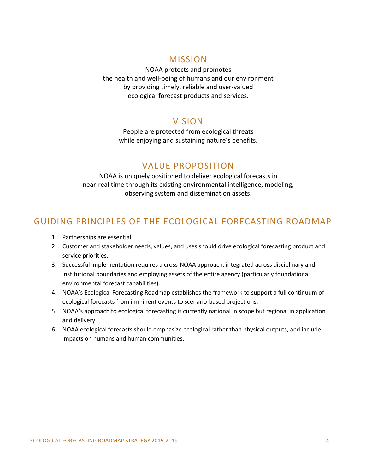#### MISSION

NOAA protects and promotes the health and well-being of humans and our environment by providing timely, reliable and user-valued ecological forecast products and services.

## VISION

People are protected from ecological threats while enjoying and sustaining nature's benefits.

## VALUE PROPOSITION

NOAA is uniquely positioned to deliver ecological forecasts in near-real time through its existing environmental intelligence, modeling, observing system and dissemination assets.

# GUIDING PRINCIPLES OF THE ECOLOGICAL FORECASTING ROADMAP

- 1. Partnerships are essential.
- 2. Customer and stakeholder needs, values, and uses should drive ecological forecasting product and service priorities.
- 3. Successful implementation requires a cross-NOAA approach, integrated across disciplinary and institutional boundaries and employing assets of the entire agency (particularly foundational environmental forecast capabilities).
- 4. NOAA's Ecological Forecasting Roadmap establishes the framework to support a full continuum of ecological forecasts from imminent events to scenario-based projections.
- 5. NOAA's approach to ecological forecasting is currently national in scope but regional in application and delivery.
- 6. NOAA ecological forecasts should emphasize ecological rather than physical outputs, and include impacts on humans and human communities.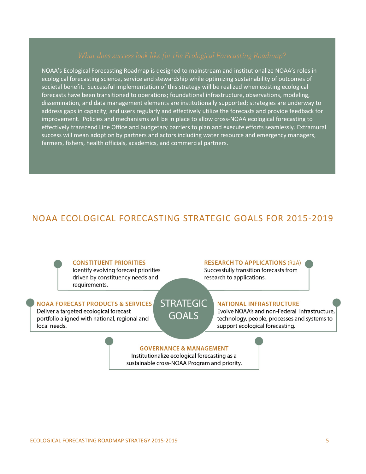NOAA's Ecological Forecasting Roadmap is designed to mainstream and institutionalize NOAA's roles in ecological forecasting science, service and stewardship while optimizing sustainability of outcomes of societal benefit. Successful implementation of this strategy will be realized when existing ecological forecasts have been transitioned to operations; foundational infrastructure, observations, modeling, dissemination, and data management elements are institutionally supported; strategies are underway to address gaps in capacity; and users regularly and effectively utilize the forecasts and provide feedback for improvement. Policies and mechanisms will be in place to allow cross-NOAA ecological forecasting to effectively transcend Line Office and budgetary barriers to plan and execute efforts seamlessly. Extramural success will mean adoption by partners and actors including water resource and emergency managers, farmers, fishers, health officials, academics, and commercial partners.

# NOAA ECOLOGICAL FORECASTING STRATEGIC GOALS FOR 2015-2019

#### **CONSTITUENT PRIORITIES**

Identify evolving forecast priorities driven by constituency needs and requirements.

#### **STRATEGIC NOAA FORECAST PRODUCTS & SERVICES**

Deliver a targeted ecological forecast portfolio aligned with national, regional and local needs.

#### **RESEARCH TO APPLICATIONS (R2A)**

Successfully transition forecasts from research to applications.

#### **NATIONAL INFRASTRUCTURE**

Evolve NOAA's and non-Federal infrastructure, technology, people, processes and systems to support ecological forecasting.

#### **GOVERNANCE & MANAGEMENT**

**GOALS** 

Institutionalize ecological forecasting as a sustainable cross-NOAA Program and priority.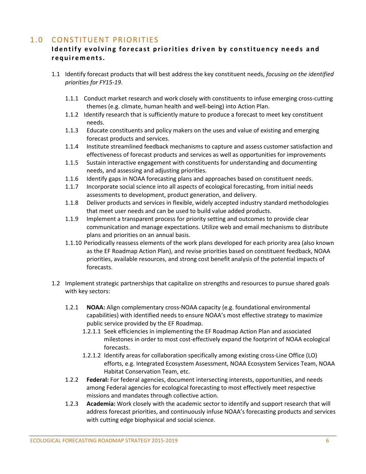#### 1.0 CONSTITUENT PRIORITIES

#### **Identify evolving forecast priorities driven by constituency needs and requirements.**

- 1.1 Identify forecast products that will best address the key constituent needs, *focusing on the identified priorities for FY15-19*.
	- 1.1.1 Conduct market research and work closely with constituents to infuse emerging cross-cutting themes (e.g. climate, human health and well-being) into Action Plan.
	- 1.1.2 Identify research that is sufficiently mature to produce a forecast to meet key constituent needs.
	- 1.1.3 Educate constituents and policy makers on the uses and value of existing and emerging forecast products and services.
	- 1.1.4 Institute streamlined feedback mechanisms to capture and assess customer satisfaction and effectiveness of forecast products and services as well as opportunities for improvements
	- 1.1.5 Sustain interactive engagement with constituents for understanding and documenting needs, and assessing and adjusting priorities.
	- 1.1.6 Identify gaps in NOAA forecasting plans and approaches based on constituent needs.
	- 1.1.7 Incorporate social science into all aspects of ecological forecasting, from initial needs assessments to development, product generation, and delivery.
	- 1.1.8 Deliver products and services in flexible, widely accepted industry standard methodologies that meet user needs and can be used to build value added products.
	- 1.1.9 Implement a transparent process for priority setting and outcomes to provide clear communication and manage expectations. Utilize web and email mechanisms to distribute plans and priorities on an annual basis.
	- 1.1.10 Periodically reassess elements of the work plans developed for each priority area (also known as the EF Roadmap Action Plan), and revise priorities based on constituent feedback, NOAA priorities, available resources, and strong cost benefit analysis of the potential impacts of forecasts.
- 1.2 Implement strategic partnerships that capitalize on strengths and resources to pursue shared goals with key sectors:
	- 1.2.1 **NOAA:** Align complementary cross-NOAA capacity (e.g. foundational environmental capabilities) with identified needs to ensure NOAA's most effective strategy to maximize public service provided by the EF Roadmap.
		- 1.2.1.1 Seek efficiencies in implementing the EF Roadmap Action Plan and associated milestones in order to most cost-effectively expand the footprint of NOAA ecological forecasts.
		- 1.2.1.2 Identify areas for collaboration specifically among existing cross-Line Office (LO) efforts, e.g. Integrated Ecosystem Assessment, NOAA Ecosystem Services Team, NOAA Habitat Conservation Team, etc.
	- 1.2.2 **Federal:** For federal agencies, document intersecting interests, opportunities, and needs among Federal agencies for ecological forecasting to most effectively meet respective missions and mandates through collective action.
	- 1.2.3 **Academia:** Work closely with the academic sector to identify and support research that will address forecast priorities, and continuously infuse NOAA's forecasting products and services with cutting edge biophysical and social science.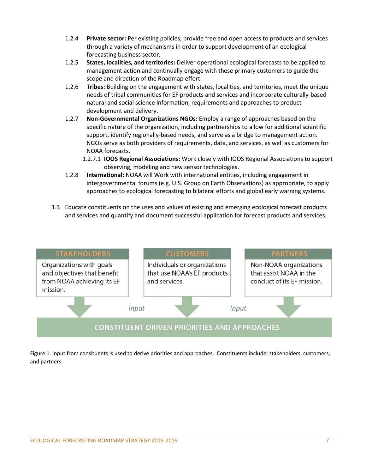- 1.2.4 **Private sector:** Per existing policies, provide free and open access to products and services through a variety of mechanisms in order to support development of an ecological forecasting business sector.
- 1.2.5 **States, localities, and territories:** Deliver operational ecological forecasts to be applied to management action and continually engage with these primary customers to guide the scope and direction of the Roadmap effort.
- 1.2.6 **Tribes:** Building on the engagement with states, localities, and territories, meet the unique needs of tribal communities for EF products and services and incorporate culturally-based natural and social science information, requirements and approaches to product development and delivery.
- 1.2.7 **Non-Governmental Organizations NGOs:** Employ a range of approaches based on the specific nature of the organization, including partnerships to allow for additional scientific support, identify regionally-based needs, and serve as a bridge to management action. NGOs serve as both providers of requirements, data, and services, as well as customers for NOAA forecasts.
	- 1.2.7.1 **IOOS Regional Associations:** Work closely with IOOS Regional Associations to support observing, modeling and new sensor technologies.
- 1.2.8 **International:** NOAA will Work with international entities, including engagement in intergovernmental forums (e.g. U.S. Group on Earth Observations) as appropriate, to apply approaches to ecological forecasting to bilateral efforts and global early warning systems.
- 1.3 Educate constituents on the uses and values of existing and emerging ecological forecast products and services and quantify and document successful application for forecast products and services.



Figure 1. Input from consituents is used to derive priorities and approaches. Constituents include: stakeholders, customers, and partners.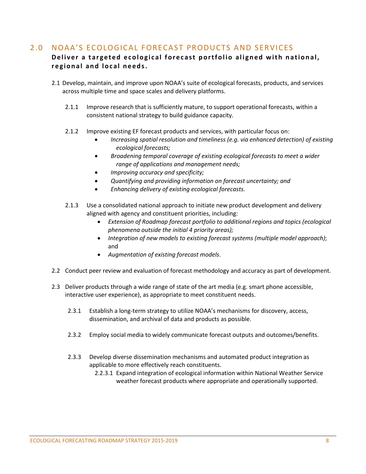### 2.0 NOAA'S ECOLOGICAL FORECAST PRODUCTS AND SERVICES

#### **Deliver a targeted ecological forecast portfolio aligned with national, regional and local needs.**

- 2.1 Develop, maintain, and improve upon NOAA's suite of ecological forecasts, products, and services across multiple time and space scales and delivery platforms.
	- 2.1.1 Improve research that is sufficiently mature, to support operational forecasts, within a consistent national strategy to build guidance capacity.
	- 2.1.2 Improve existing EF forecast products and services, with particular focus on:
		- *Increasing spatial resolution and timeliness (e.g. via enhanced detection) of existing ecological forecasts;*
		- *Broadening temporal coverage of existing ecological forecasts to meet a wider range of applications and management needs;*
		- *Improving accuracy and specificity;*
		- *Quantifying and providing information on forecast uncertainty; and*
		- *Enhancing delivery of existing ecological forecasts.*
	- 2.1.3 Use a consolidated national approach to initiate new product development and delivery aligned with agency and constituent priorities, including:
		- *Extension of Roadmap forecast portfolio to additional regions and topics (ecological phenomena outside the initial 4 priority areas);*
		- *Integration of new models to existing forecast systems (multiple model approach)*; and
		- *Augmentation of existing forecast models*.
- 2.2 Conduct peer review and evaluation of forecast methodology and accuracy as part of development.
- 2.3 Deliver products through a wide range of state of the art media (e.g. smart phone accessible, interactive user experience), as appropriate to meet constituent needs.
	- 2.3.1 Establish a long-term strategy to utilize NOAA's mechanisms for discovery, access, dissemination, and archival of data and products as possible.
	- 2.3.2 Employ social media to widely communicate forecast outputs and outcomes/benefits.
	- 2.3.3 Develop diverse dissemination mechanisms and automated product integration as applicable to more effectively reach constituents.
		- 2.2.3.1 Expand integration of ecological information within National Weather Service weather forecast products where appropriate and operationally supported.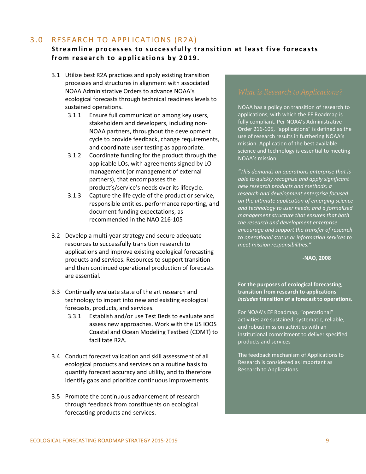### 3.0 RESEARCH TO APPLICATIONS (R2A)

#### **S treamline processe s to successfully transition at least five forecasts from research to applications by 2019.**

- 3.1 Utilize best R2A practices and apply existing transition processes and structures in alignment with associated NOAA Administrative Orders to advance NOAA's ecological forecasts through technical readiness levels to sustained operations.
	- 3.1.1 Ensure full communication among key users, stakeholders and developers, including non-NOAA partners, throughout the development cycle to provide feedback, change requirements, and coordinate user testing as appropriate.
	- 3.1.2 Coordinate funding for the product through the applicable LOs, with agreements signed by LO management (or management of external partners), that encompasses the product's/service's needs over its lifecycle.
	- 3.1.3 Capture the life cycle of the product or service, responsible entities, performance reporting, and document funding expectations, as recommended in the NAO 216-105
- 3.2 Develop a multi-year strategy and secure adequate resources to successfully transition research to applications and improve existing ecological forecasting products and services. Resources to support transition and then continued operational production of forecasts are essential.
- 3.3 Continually evaluate state of the art research and technology to impart into new and existing ecological forecasts, products, and services.
	- 3.3.1 Establish and/or use Test Beds to evaluate and assess new approaches. Work with the US IOOS Coastal and Ocean Modeling Testbed (COMT) to facilitate R2A.
- 3.4 Conduct forecast validation and skill assessment of all ecological products and services on a routine basis to quantify forecast accuracy and utility, and to therefore identify gaps and prioritize continuous improvements.
- 3.5 Promote the continuous advancement of research through feedback from constituents on ecological forecasting products and services.

NOAA has a policy on transition of research to applications, with which the EF Roadmap is fully compliant. Per NOAA's Administrative Order 216-105, "applications" is defined as the use of research results in furthering NOAA's mission. Application of the best available science and technology is essential to meeting NOAA's mission.

*"This demands an operations enterprise that is able to quickly recognize and apply significant new research products and methods; a research and development enterprise focused on the ultimate application of emerging science and technology to user needs; and a formalized management structure that ensures that both the research and development enterprise encourage and support the transfer of research to operational status or information services to meet mission responsibilities."* 

**-NAO, 2008**

**For the purposes of ecological forecasting, transition from research to applications** *includes* **transition of a forecast to operations.**

For NOAA's EF Roadmap, "operational" activities are sustained, systematic, reliable, and robust mission activities with an institutional commitment to deliver specified products and services

The feedback mechanism of Applications to Research is considered as important as Research to Applications.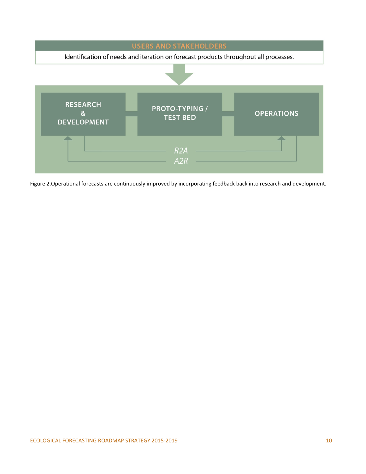

Figure 2.Operational forecasts are continuously improved by incorporating feedback back into research and development.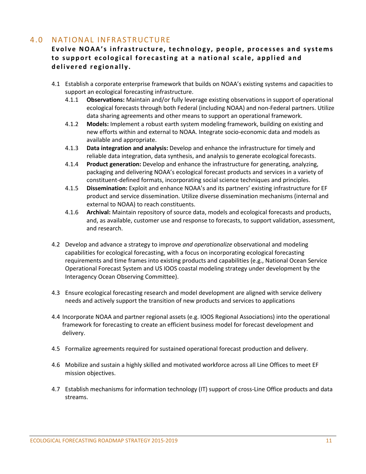## 4.0 NATIONAL INFRASTRUCTURE

#### **Evolve NOAA's infrastructure, technology, people, processes and systems to support ecological forecasting at a national scale , applied and delivered regionally .**

- 4.1 Establish a corporate enterprise framework that builds on NOAA's existing systems and capacities to support an ecological forecasting infrastructure.
	- 4.1.1 **Observations:** Maintain and/or fully leverage existing observations in support of operational ecological forecasts through both Federal (including NOAA) and non-Federal partners. Utilize data sharing agreements and other means to support an operational framework.
	- 4.1.2 **Models:** Implement a robust earth system modeling framework, building on existing and new efforts within and external to NOAA. Integrate socio-economic data and models as available and appropriate.
	- 4.1.3 **Data integration and analysis:** Develop and enhance the infrastructure for timely and reliable data integration, data synthesis, and analysis to generate ecological forecasts.
	- 4.1.4 **Product generation:** Develop and enhance the infrastructure for generating, analyzing, packaging and delivering NOAA's ecological forecast products and services in a variety of constituent-defined formats, incorporating social science techniques and principles.
	- 4.1.5 **Dissemination:** Exploit and enhance NOAA's and its partners' existing infrastructure for EF product and service dissemination. Utilize diverse dissemination mechanisms (internal and external to NOAA) to reach constituents.
	- 4.1.6 **Archival:** Maintain repository of source data, models and ecological forecasts and products, and, as available, customer use and response to forecasts, to support validation, assessment, and research.
- 4.2 Develop and advance a strategy to improve *and operationalize* observational and modeling capabilities for ecological forecasting, with a focus on incorporating ecological forecasting requirements and time frames into existing products and capabilities (e.g., National Ocean Service Operational Forecast System and US IOOS coastal modeling strategy under development by the Interagency Ocean Observing Committee).
- 4.3 Ensure ecological forecasting research and model development are aligned with service delivery needs and actively support the transition of new products and services to applications
- 4.4 Incorporate NOAA and partner regional assets (e.g. IOOS Regional Associations) into the operational framework for forecasting to create an efficient business model for forecast development and delivery.
- 4.5 Formalize agreements required for sustained operational forecast production and delivery.
- 4.6 Mobilize and sustain a highly skilled and motivated workforce across all Line Offices to meet EF mission objectives.
- 4.7 Establish mechanisms for information technology (IT) support of cross-Line Office products and data streams.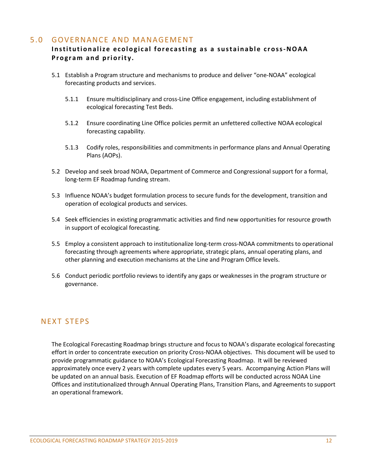#### 5.0 GOVERNANCE AND MANAGEMENT

#### **Institutionalize ecological forecasting as a sustainable cross-NOAA Program and priority.**

- 5.1 Establish a Program structure and mechanisms to produce and deliver "one-NOAA" ecological forecasting products and services.
	- 5.1.1 Ensure multidisciplinary and cross-Line Office engagement, including establishment of ecological forecasting Test Beds.
	- 5.1.2 Ensure coordinating Line Office policies permit an unfettered collective NOAA ecological forecasting capability.
	- 5.1.3 Codify roles, responsibilities and commitments in performance plans and Annual Operating Plans (AOPs).
- 5.2 Develop and seek broad NOAA, Department of Commerce and Congressional support for a formal, long-term EF Roadmap funding stream.
- 5.3 Influence NOAA's budget formulation process to secure funds for the development, transition and operation of ecological products and services.
- 5.4 Seek efficiencies in existing programmatic activities and find new opportunities for resource growth in support of ecological forecasting.
- 5.5 Employ a consistent approach to institutionalize long-term cross-NOAA commitments to operational forecasting through agreements where appropriate, strategic plans, annual operating plans, and other planning and execution mechanisms at the Line and Program Office levels.
- 5.6 Conduct periodic portfolio reviews to identify any gaps or weaknesses in the program structure or governance.

#### NEXT STEPS

The Ecological Forecasting Roadmap brings structure and focus to NOAA's disparate ecological forecasting effort in order to concentrate execution on priority Cross-NOAA objectives. This document will be used to provide programmatic guidance to NOAA's Ecological Forecasting Roadmap. It will be reviewed approximately once every 2 years with complete updates every 5 years. Accompanying Action Plans will be updated on an annual basis. Execution of EF Roadmap efforts will be conducted across NOAA Line Offices and institutionalized through Annual Operating Plans, Transition Plans, and Agreements to support an operational framework.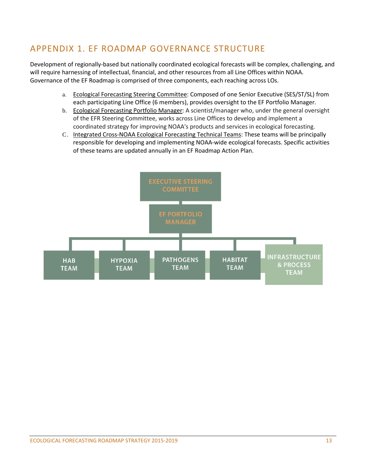# APPENDIX 1. EF ROADMAP GOVERNANCE STRUCTURE

Development of regionally-based but nationally coordinated ecological forecasts will be complex, challenging, and will require harnessing of intellectual, financial, and other resources from all Line Offices within NOAA. Governance of the EF Roadmap is comprised of three components, each reaching across LOs.

- a. Ecological Forecasting Steering Committee: Composed of one Senior Executive (SES/ST/SL) from each participating Line Office (6 members), provides oversight to the EF Portfolio Manager.
- b. Ecological Forecasting Portfolio Manager: A scientist/manager who, under the general oversight of the EFR Steering Committee, works across Line Offices to develop and implement a coordinated strategy for improving NOAA's products and services in ecological forecasting.
- C. Integrated Cross-NOAA Ecological Forecasting Technical Teams: These teams will be principally responsible for developing and implementing NOAA-wide ecological forecasts. Specific activities of these teams are updated annually in an EF Roadmap Action Plan.